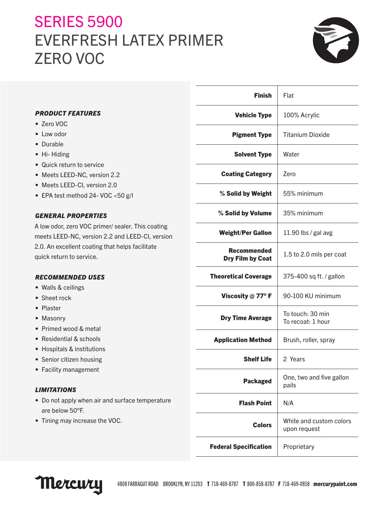# **SERIES 5900** EVERFRESH LATEX PRIMER ZERO VOC



|                                                   | <b>Finish</b>                | Flat                                    |
|---------------------------------------------------|------------------------------|-----------------------------------------|
| <b>PRODUCT FEATURES</b>                           | <b>Vehicle Type</b>          | 100% Acrylic                            |
| • Zero VOC                                        |                              |                                         |
| • Low odor                                        | <b>Pigment Type</b>          | <b>Titanium Dioxide</b>                 |
| • Durable                                         |                              |                                         |
| • Hi-Hiding                                       | <b>Solvent Type</b>          | Water                                   |
| • Quick return to service                         |                              |                                         |
| • Meets LEED-NC, version 2.2                      | <b>Coating Category</b>      | Zero                                    |
| • Meets LEED-CI, version 2.0                      |                              |                                         |
| • EPA test method 24- VOC <50 g/l                 | % Solid by Weight            | 55% minimum                             |
| <b>GENERAL PROPERTIES</b>                         | % Solid by Volume            | 35% minimum                             |
| A low odor, zero VOC primer/ sealer. This coating |                              |                                         |
| meets LEED-NC, version 2.2 and LEED-CI, version   | <b>Weight/Per Gallon</b>     | 11.90 lbs / gal avg                     |
| 2.0. An excellent coating that helps facilitate   | <b>Recommended</b>           |                                         |
| quick return to service.                          | <b>Dry Film by Coat</b>      | 1.5 to 2.0 mils per coat                |
| <b>RECOMMENDED USES</b>                           | <b>Theoretical Coverage</b>  | 375-400 sq ft. / gallon                 |
| • Walls & ceilings                                |                              |                                         |
| • Sheet rock                                      | Viscosity $@$ 77° F          | 90-100 KU minimum                       |
| • Plaster                                         |                              |                                         |
| • Masonry                                         | <b>Dry Time Average</b>      | To touch: 30 min<br>To recoat: 1 hour   |
| • Primed wood & metal                             |                              |                                         |
| • Residential & schools                           | <b>Application Method</b>    | Brush, roller, spray                    |
| • Hospitals & institutions                        |                              |                                         |
| • Senior citizen housing                          | <b>Shelf Life</b>            | 2 Years                                 |
| • Facility management                             |                              |                                         |
| <b>LIMITATIONS</b>                                | <b>Packaged</b>              | One, two and five gallon<br>pails       |
| • Do not apply when air and surface temperature   |                              |                                         |
| are below 50°F.                                   | <b>Flash Point</b>           | N/A                                     |
| • Tining may increase the VOC.                    | <b>Colors</b>                | White and custom colors<br>upon request |
|                                                   | <b>Federal Specification</b> | Proprietary                             |